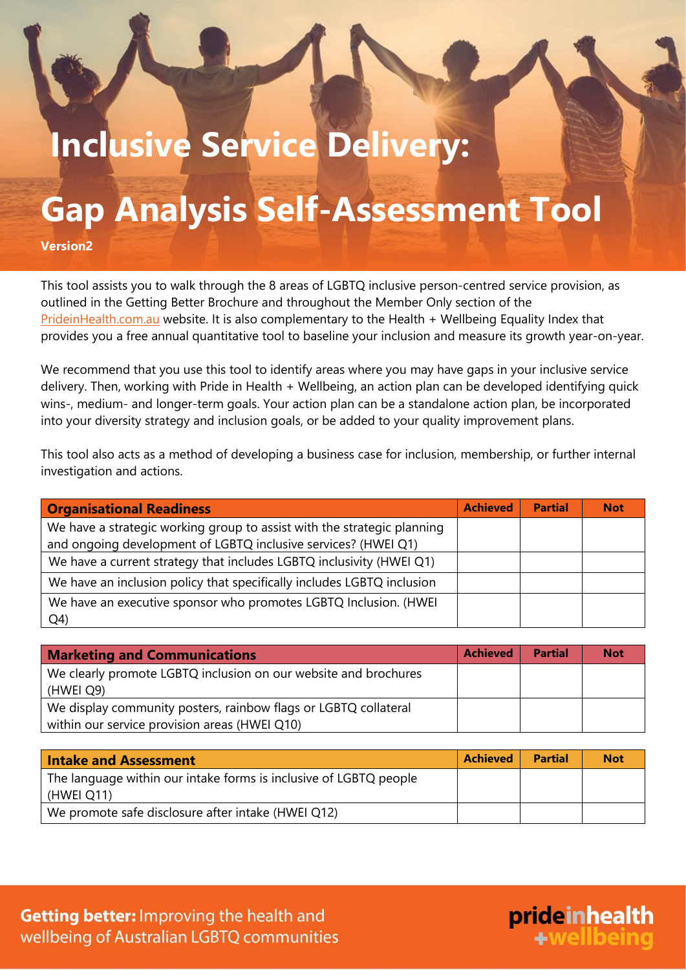## **Inclusive Service Delivery:**

## **Gap Analysis Self-Assessment Tool**

**Version2**

This tool assists you to walk through the 8 areas of LGBTQ inclusive person-centred service provision, as outlined in the Getting Better Brochure and throughout the Member Only section of the [PrideinHealth.com.au](prideinhealth.com.au) website. It is also complementary to the Health + Wellbeing Equality Index that provides you a free annual quantitative tool to baseline your inclusion and measure its growth year-on-year.

We recommend that you use this tool to identify areas where you may have gaps in your inclusive service delivery. Then, working with Pride in Health + Wellbeing, an action plan can be developed identifying quick wins-, medium- and longer-term goals. Your action plan can be a standalone action plan, be incorporated into your diversity strategy and inclusion goals, or be added to your quality improvement plans.

This tool also acts as a method of developing a business case for inclusion, membership, or further internal investigation and actions.

| <b>Organisational Readiness</b>                                         | <b>Achieved</b> | <b>Partial</b> | <b>Not</b> |
|-------------------------------------------------------------------------|-----------------|----------------|------------|
| We have a strategic working group to assist with the strategic planning |                 |                |            |
| and ongoing development of LGBTQ inclusive services? (HWEI Q1)          |                 |                |            |
| We have a current strategy that includes LGBTQ inclusivity (HWEI Q1)    |                 |                |            |
| We have an inclusion policy that specifically includes LGBTQ inclusion  |                 |                |            |
| We have an executive sponsor who promotes LGBTQ Inclusion. (HWEI        |                 |                |            |
| Q <sub>4</sub>                                                          |                 |                |            |

| <b>Marketing and Communications</b>                             | <b>Achieved</b> | <b>Partial</b> | <b>Not</b> |
|-----------------------------------------------------------------|-----------------|----------------|------------|
| We clearly promote LGBTQ inclusion on our website and brochures |                 |                |            |
| (HWEI Q9)                                                       |                 |                |            |
| We display community posters, rainbow flags or LGBTQ collateral |                 |                |            |
| within our service provision areas (HWEI Q10)                   |                 |                |            |

| <b>Intake and Assessment</b>                                      | <b>Achieved</b> | <b>Partial</b> | <b>Not</b> |
|-------------------------------------------------------------------|-----------------|----------------|------------|
| The language within our intake forms is inclusive of LGBTQ people |                 |                |            |
| (HWEI Q11)                                                        |                 |                |            |
| We promote safe disclosure after intake (HWEI Q12)                |                 |                |            |

prideinhealth

+wellbeing

Getting better: Improving the health and wellbeing of Australian LGBTQ communities